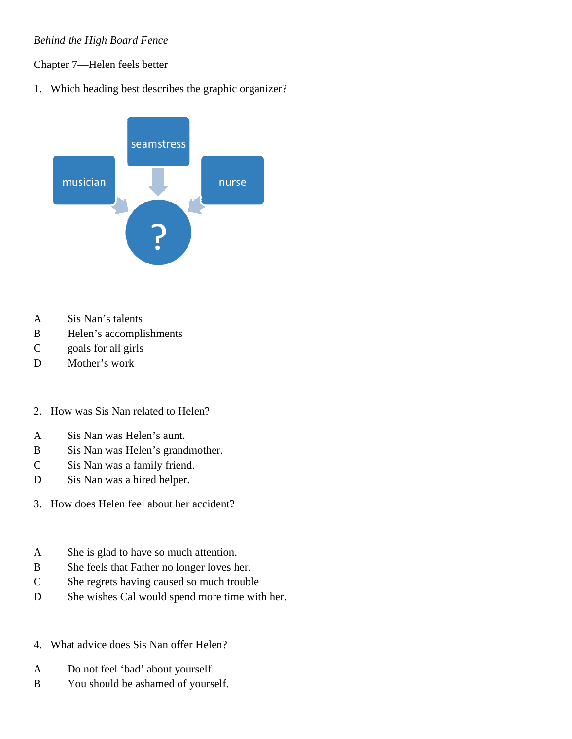## *Behind the High Board Fence*

## Chapter 7—Helen feels better

1. Which heading best describes the graphic organizer?



- A Sis Nan's talents
- B Helen's accomplishments
- C goals for all girls
- D Mother's work
- 2. How was Sis Nan related to Helen?
- A Sis Nan was Helen's aunt.
- B Sis Nan was Helen's grandmother.
- C Sis Nan was a family friend.
- D Sis Nan was a hired helper.
- 3. How does Helen feel about her accident?
- A She is glad to have so much attention.
- B She feels that Father no longer loves her.
- C She regrets having caused so much trouble
- D She wishes Cal would spend more time with her.
- 4. What advice does Sis Nan offer Helen?
- A Do not feel 'bad' about yourself.
- B You should be ashamed of yourself.